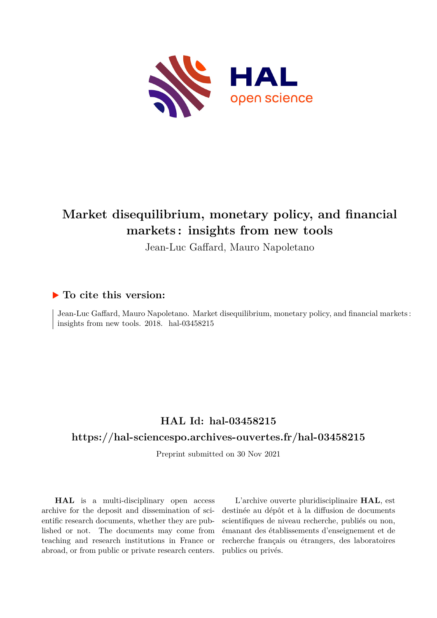

# **Market disequilibrium, monetary policy, and financial markets : insights from new tools**

Jean-Luc Gaffard, Mauro Napoletano

# **To cite this version:**

Jean-Luc Gaffard, Mauro Napoletano. Market disequilibrium, monetary policy, and financial markets : insights from new tools.  $2018$ . hal- $03458215$ 

# **HAL Id: hal-03458215**

# **<https://hal-sciencespo.archives-ouvertes.fr/hal-03458215>**

Preprint submitted on 30 Nov 2021

**HAL** is a multi-disciplinary open access archive for the deposit and dissemination of scientific research documents, whether they are published or not. The documents may come from teaching and research institutions in France or abroad, or from public or private research centers.

L'archive ouverte pluridisciplinaire **HAL**, est destinée au dépôt et à la diffusion de documents scientifiques de niveau recherche, publiés ou non, émanant des établissements d'enseignement et de recherche français ou étrangers, des laboratoires publics ou privés.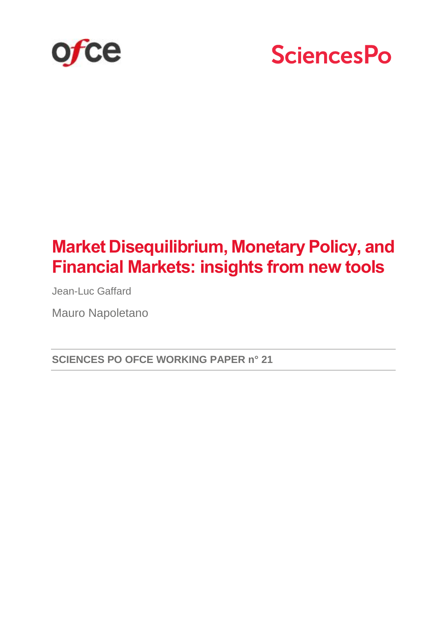



# **Market Disequilibrium, Monetary Policy, and Financial Markets: insights from new tools**

Jean-Luc Gaffard

Mauro Napoletano

**SCIENCES PO OFCE WORKING PAPER n° 21**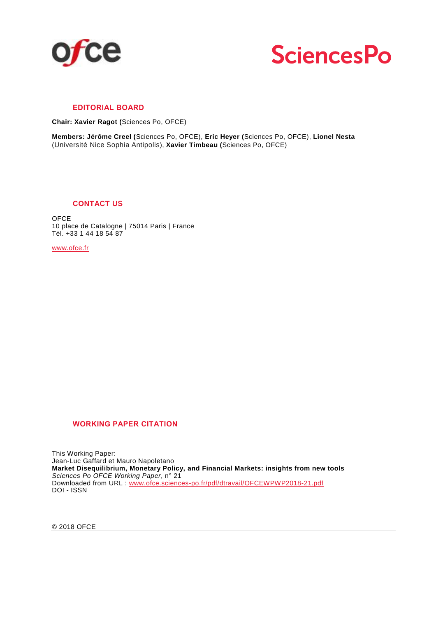



#### **EDITORIAL BOARD**

**Chair: Xavier Ragot (**Sciences Po, OFCE)

**Members: Jérôme Creel (**Sciences Po, OFCE), **Eric Heyer (**Sciences Po, OFCE), **Lionel Nesta** (Université Nice Sophia Antipolis), **Xavier Timbeau (**Sciences Po, OFCE)

#### **CONTACT US**

**OFCE** 10 place de Catalogne | 75014 Paris | France Tél. +33 1 44 18 54 87

[www.ofce.fr](http://www.ofce.fr/)

#### **WORKING PAPER CITATION**

This Working Paper: Jean-Luc Gaffard et Mauro Napoletano **Market Disequilibrium, Monetary Policy, and Financial Markets: insights from new tools** *Sciences Po OFCE Working Paper*, n° 21 Downloaded from URL : [www.ofce.sciences-po.fr/pdf/dtravail/OFCEWPWP2018-21.pdf](http://www.ofce.sciences-po.fr/pdf/dtravail/OFCEWPWP2018-21.pdf) DOI - ISSN

© 2018 OFCE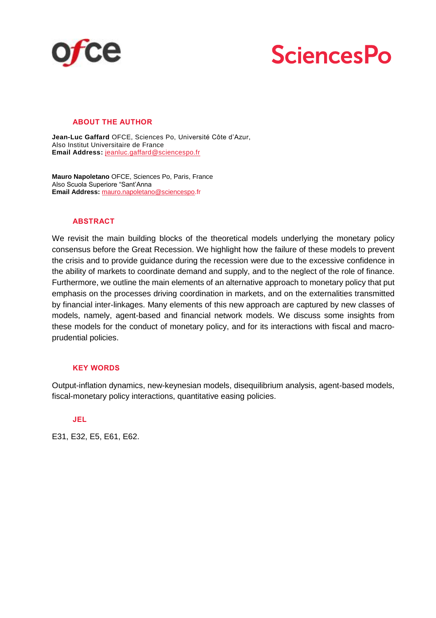



#### **ABOUT THE AUTHOR**

**Jean-Luc Gaffard** OFCE, Sciences Po, Université Côte d'Azur, Also Institut Universitaire de France **Email Address:** [jeanluc.gaffard@sciencespo.fr](mailto:jeanluc.gaffard@sciencespo.fr)

**Mauro Napoletano** OFCE, Sciences Po, Paris, France Also Scuola Superiore "Sant'Anna **Email Address:** [mauro.napoletano@sciencespo.](mailto:mauro.napoletano@sciencespo)fr

#### **ABSTRACT**

We revisit the main building blocks of the theoretical models underlying the monetary policy consensus before the Great Recession. We highlight how the failure of these models to prevent the crisis and to provide guidance during the recession were due to the excessive confidence in the ability of markets to coordinate demand and supply, and to the neglect of the role of finance. Furthermore, we outline the main elements of an alternative approach to monetary policy that put emphasis on the processes driving coordination in markets, and on the externalities transmitted by financial inter-linkages. Many elements of this new approach are captured by new classes of models, namely, agent-based and financial network models. We discuss some insights from these models for the conduct of monetary policy, and for its interactions with fiscal and macroprudential policies.

#### **KEY WORDS**

Output-inflation dynamics, new-keynesian models, disequilibrium analysis, agent-based models, fiscal-monetary policy interactions, quantitative easing policies.

#### **JEL**

E31, E32, E5, E61, E62.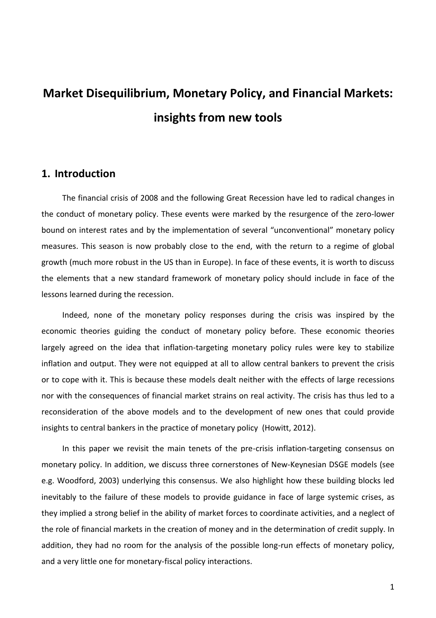# **Market Disequilibrium, Monetary Policy, and Financial Markets: insights from new tools**

# **1. Introduction**

The financial crisis of 2008 and the following Great Recession have led to radical changes in the conduct of monetary policy. These events were marked by the resurgence of the zero-lower bound on interest rates and by the implementation of several "unconventional" monetary policy measures. This season is now probably close to the end, with the return to a regime of global growth (much more robust in the US than in Europe). In face of these events, it is worth to discuss the elements that a new standard framework of monetary policy should include in face of the lessons learned during the recession.

Indeed, none of the monetary policy responses during the crisis was inspired by the economic theories guiding the conduct of monetary policy before. These economic theories largely agreed on the idea that inflation-targeting monetary policy rules were key to stabilize inflation and output. They were not equipped at all to allow central bankers to prevent the crisis or to cope with it. This is because these models dealt neither with the effects of large recessions nor with the consequences of financial market strains on real activity. The crisis has thus led to a reconsideration of the above models and to the development of new ones that could provide insights to central bankers in the practice of monetary policy (Howitt, 2012).

In this paper we revisit the main tenets of the pre-crisis inflation-targeting consensus on monetary policy. In addition, we discuss three cornerstones of New-Keynesian DSGE models (see e.g. Woodford, 2003) underlying this consensus. We also highlight how these building blocks led inevitably to the failure of these models to provide guidance in face of large systemic crises, as they implied a strong belief in the ability of market forces to coordinate activities, and a neglect of the role of financial markets in the creation of money and in the determination of credit supply. In addition, they had no room for the analysis of the possible long-run effects of monetary policy, and a very little one for monetary-fiscal policy interactions.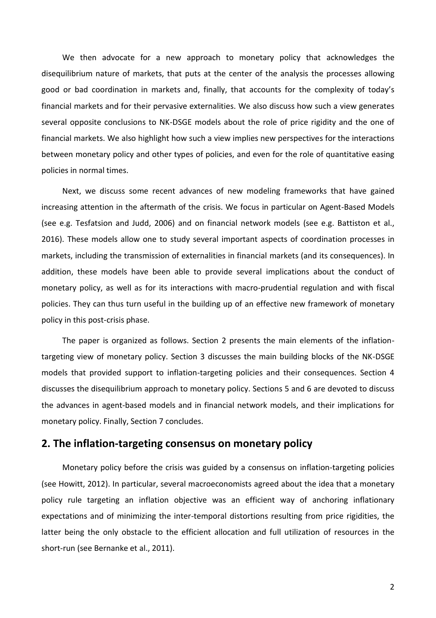We then advocate for a new approach to monetary policy that acknowledges the disequilibrium nature of markets, that puts at the center of the analysis the processes allowing good or bad coordination in markets and, finally, that accounts for the complexity of today's financial markets and for their pervasive externalities. We also discuss how such a view generates several opposite conclusions to NK-DSGE models about the role of price rigidity and the one of financial markets. We also highlight how such a view implies new perspectives for the interactions between monetary policy and other types of policies, and even for the role of quantitative easing policies in normal times.

Next, we discuss some recent advances of new modeling frameworks that have gained increasing attention in the aftermath of the crisis. We focus in particular on Agent-Based Models (see e.g. Tesfatsion and Judd, 2006) and on financial network models (see e.g. Battiston et al., 2016). These models allow one to study several important aspects of coordination processes in markets, including the transmission of externalities in financial markets (and its consequences). In addition, these models have been able to provide several implications about the conduct of monetary policy, as well as for its interactions with macro-prudential regulation and with fiscal policies. They can thus turn useful in the building up of an effective new framework of monetary policy in this post-crisis phase.

The paper is organized as follows. Section 2 presents the main elements of the inflationtargeting view of monetary policy. Section 3 discusses the main building blocks of the NK-DSGE models that provided support to inflation-targeting policies and their consequences. Section 4 discusses the disequilibrium approach to monetary policy. Sections 5 and 6 are devoted to discuss the advances in agent-based models and in financial network models, and their implications for monetary policy. Finally, Section 7 concludes.

#### **2. The inflation-targeting consensus on monetary policy**

Monetary policy before the crisis was guided by a consensus on inflation-targeting policies (see Howitt, 2012). In particular, several macroeconomists agreed about the idea that a monetary policy rule targeting an inflation objective was an efficient way of anchoring inflationary expectations and of minimizing the inter-temporal distortions resulting from price rigidities, the latter being the only obstacle to the efficient allocation and full utilization of resources in the short-run (see Bernanke et al., 2011).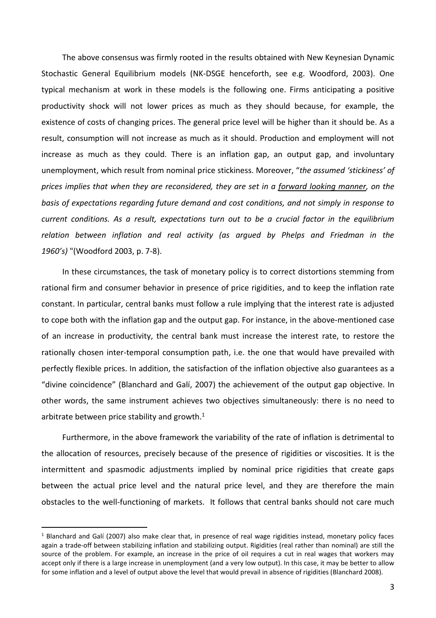The above consensus was firmly rooted in the results obtained with New Keynesian Dynamic Stochastic General Equilibrium models (NK-DSGE henceforth, see e.g. Woodford, 2003). One typical mechanism at work in these models is the following one. Firms anticipating a positive productivity shock will not lower prices as much as they should because, for example, the existence of costs of changing prices. The general price level will be higher than it should be. As a result, consumption will not increase as much as it should. Production and employment will not increase as much as they could. There is an inflation gap, an output gap, and involuntary unemployment, which result from nominal price stickiness. Moreover, "*the assumed 'stickiness' of prices implies that when they are reconsidered, they are set in a forward looking manner, on the basis of expectations regarding future demand and cost conditions, and not simply in response to current conditions. As a result, expectations turn out to be a crucial factor in the equilibrium relation between inflation and real activity (as argued by Phelps and Friedman in the 1960's)* "(Woodford 2003, p. 7-8).

In these circumstances, the task of monetary policy is to correct distortions stemming from rational firm and consumer behavior in presence of price rigidities, and to keep the inflation rate constant. In particular, central banks must follow a rule implying that the interest rate is adjusted to cope both with the inflation gap and the output gap. For instance, in the above-mentioned case of an increase in productivity, the central bank must increase the interest rate, to restore the rationally chosen inter-temporal consumption path, i.e. the one that would have prevailed with perfectly flexible prices. In addition, the satisfaction of the inflation objective also guarantees as a "divine coincidence" (Blanchard and Galí, 2007) the achievement of the output gap objective. In other words, the same instrument achieves two objectives simultaneously: there is no need to arbitrate between price stability and growth. $1$ 

Furthermore, in the above framework the variability of the rate of inflation is detrimental to the allocation of resources, precisely because of the presence of rigidities or viscosities. It is the intermittent and spasmodic adjustments implied by nominal price rigidities that create gaps between the actual price level and the natural price level, and they are therefore the main obstacles to the well-functioning of markets. It follows that central banks should not care much

 $\overline{a}$ 

<sup>&</sup>lt;sup>1</sup> Blanchard and Galí (2007) also make clear that, in presence of real wage rigidities instead, monetary policy faces again a trade-off between stabilizing inflation and stabilizing output. Rigidities (real rather than nominal) are still the source of the problem. For example, an increase in the price of oil requires a cut in real wages that workers may accept only if there is a large increase in unemployment (and a very low output). In this case, it may be better to allow for some inflation and a level of output above the level that would prevail in absence of rigidities (Blanchard 2008).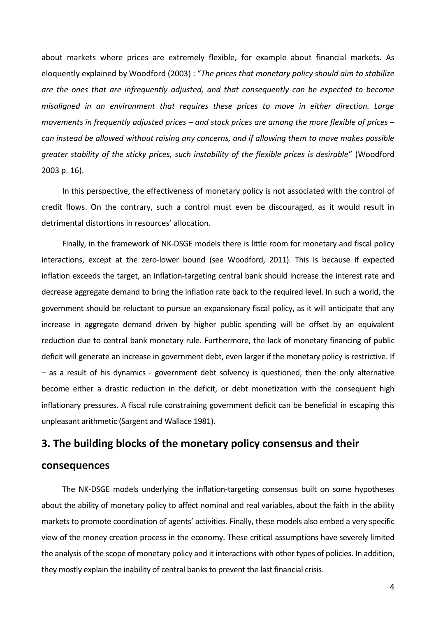about markets where prices are extremely flexible, for example about financial markets. As eloquently explained by Woodford (2003) : "*The prices that monetary policy should aim to stabilize are the ones that are infrequently adjusted, and that consequently can be expected to become misaligned in an environment that requires these prices to move in either direction. Large movements in frequently adjusted prices – and stock prices are among the more flexible of prices – can instead be allowed without raising any concerns, and if allowing them to move makes possible greater stability of the sticky prices, such instability of the flexible prices is desirable*" (Woodford 2003 p. 16).

In this perspective, the effectiveness of monetary policy is not associated with the control of credit flows. On the contrary, such a control must even be discouraged, as it would result in detrimental distortions in resources' allocation.

Finally, in the framework of NK-DSGE models there is little room for monetary and fiscal policy interactions, except at the zero-lower bound (see Woodford, 2011). This is because if expected inflation exceeds the target, an inflation-targeting central bank should increase the interest rate and decrease aggregate demand to bring the inflation rate back to the required level. In such a world, the government should be reluctant to pursue an expansionary fiscal policy, as it will anticipate that any increase in aggregate demand driven by higher public spending will be offset by an equivalent reduction due to central bank monetary rule. Furthermore, the lack of monetary financing of public deficit will generate an increase in government debt, even larger if the monetary policy is restrictive. If – as a result of his dynamics - government debt solvency is questioned, then the only alternative become either a drastic reduction in the deficit, or debt monetization with the consequent high inflationary pressures. A fiscal rule constraining government deficit can be beneficial in escaping this unpleasant arithmetic (Sargent and Wallace 1981).

### **3. The building blocks of the monetary policy consensus and their**

#### **consequences**

The NK-DSGE models underlying the inflation-targeting consensus built on some hypotheses about the ability of monetary policy to affect nominal and real variables, about the faith in the ability markets to promote coordination of agents' activities. Finally, these models also embed a very specific view of the money creation process in the economy. These critical assumptions have severely limited the analysis of the scope of monetary policy and it interactions with other types of policies. In addition, they mostly explain the inability of central banks to prevent the last financial crisis.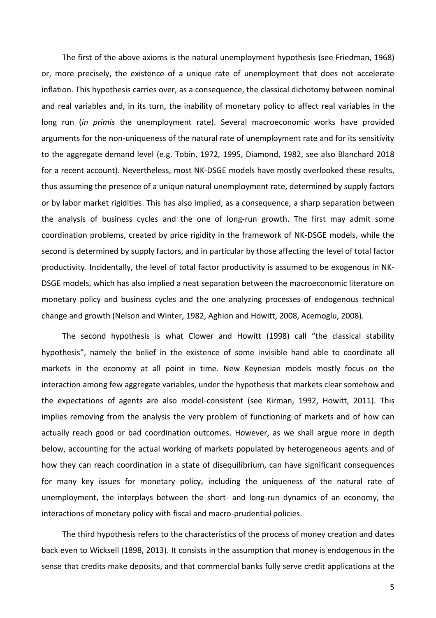The first of the above axioms is the natural unemployment hypothesis (see Friedman, 1968) or, more precisely, the existence of a unique rate of unemployment that does not accelerate inflation. This hypothesis carries over, as a consequence, the classical dichotomy between nominal and real variables and, in its turn, the inability of monetary policy to affect real variables in the long run (*in primis* the unemployment rate). Several macroeconomic works have provided arguments for the non-uniqueness of the natural rate of unemployment rate and for its sensitivity to the aggregate demand level (e.g. Tobin, 1972, 1995, Diamond, 1982, see also Blanchard 2018 for a recent account). Nevertheless, most NK-DSGE models have mostly overlooked these results, thus assuming the presence of a unique natural unemployment rate, determined by supply factors or by labor market rigidities. This has also implied, as a consequence, a sharp separation between the analysis of business cycles and the one of long-run growth. The first may admit some coordination problems, created by price rigidity in the framework of NK-DSGE models, while the second is determined by supply factors, and in particular by those affecting the level of total factor productivity. Incidentally, the level of total factor productivity is assumed to be exogenous in NK-DSGE models, which has also implied a neat separation between the macroeconomic literature on monetary policy and business cycles and the one analyzing processes of endogenous technical change and growth (Nelson and Winter, 1982, Aghion and Howitt, 2008, Acemoglu, 2008).

The second hypothesis is what Clower and Howitt (1998) call "the classical stability hypothesis", namely the belief in the existence of some invisible hand able to coordinate all markets in the economy at all point in time. New Keynesian models mostly focus on the interaction among few aggregate variables, under the hypothesis that markets clear somehow and the expectations of agents are also model-consistent (see Kirman, 1992, Howitt, 2011). This implies removing from the analysis the very problem of functioning of markets and of how can actually reach good or bad coordination outcomes. However, as we shall argue more in depth below, accounting for the actual working of markets populated by heterogeneous agents and of how they can reach coordination in a state of disequilibrium, can have significant consequences for many key issues for monetary policy, including the uniqueness of the natural rate of unemployment, the interplays between the short- and long-run dynamics of an economy, the interactions of monetary policy with fiscal and macro-prudential policies.

The third hypothesis refers to the characteristics of the process of money creation and dates back even to Wicksell (1898, 2013). It consists in the assumption that money is endogenous in the sense that credits make deposits, and that commercial banks fully serve credit applications at the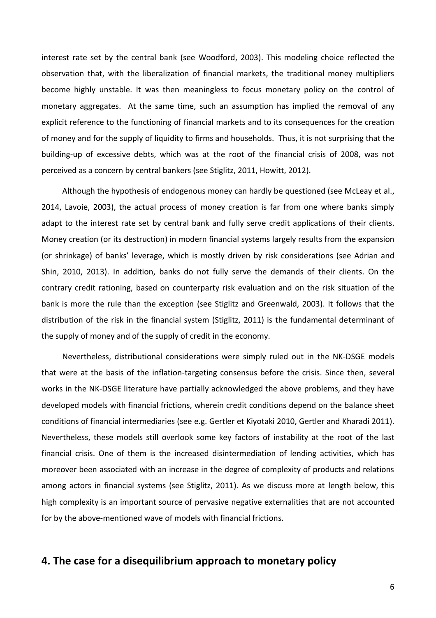interest rate set by the central bank (see Woodford, 2003). This modeling choice reflected the observation that, with the liberalization of financial markets, the traditional money multipliers become highly unstable. It was then meaningless to focus monetary policy on the control of monetary aggregates. At the same time, such an assumption has implied the removal of any explicit reference to the functioning of financial markets and to its consequences for the creation of money and for the supply of liquidity to firms and households. Thus, it is not surprising that the building-up of excessive debts, which was at the root of the financial crisis of 2008, was not perceived as a concern by central bankers (see Stiglitz, 2011, Howitt, 2012).

Although the hypothesis of endogenous money can hardly be questioned (see McLeay et al., 2014, Lavoie, 2003), the actual process of money creation is far from one where banks simply adapt to the interest rate set by central bank and fully serve credit applications of their clients. Money creation (or its destruction) in modern financial systems largely results from the expansion (or shrinkage) of banks' leverage, which is mostly driven by risk considerations (see Adrian and Shin, 2010, 2013). In addition, banks do not fully serve the demands of their clients. On the contrary credit rationing, based on counterparty risk evaluation and on the risk situation of the bank is more the rule than the exception (see Stiglitz and Greenwald, 2003). It follows that the distribution of the risk in the financial system (Stiglitz, 2011) is the fundamental determinant of the supply of money and of the supply of credit in the economy.

Nevertheless, distributional considerations were simply ruled out in the NK-DSGE models that were at the basis of the inflation-targeting consensus before the crisis. Since then, several works in the NK-DSGE literature have partially acknowledged the above problems, and they have developed models with financial frictions, wherein credit conditions depend on the balance sheet conditions of financial intermediaries (see e.g. Gertler et Kiyotaki 2010, Gertler and Kharadi 2011). Nevertheless, these models still overlook some key factors of instability at the root of the last financial crisis. One of them is the increased disintermediation of lending activities, which has moreover been associated with an increase in the degree of complexity of products and relations among actors in financial systems (see Stiglitz, 2011). As we discuss more at length below, this high complexity is an important source of pervasive negative externalities that are not accounted for by the above-mentioned wave of models with financial frictions.

# **4. The case for a disequilibrium approach to monetary policy**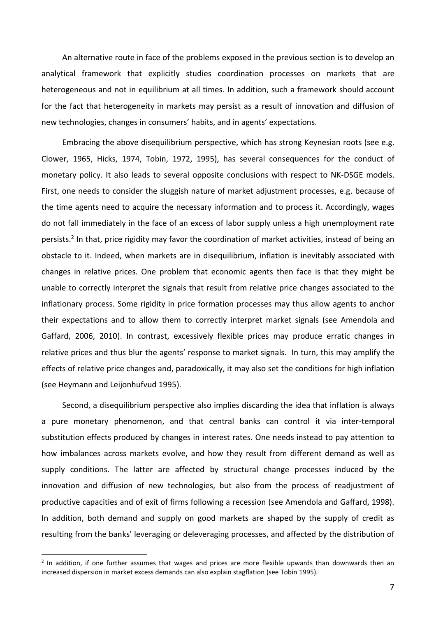An alternative route in face of the problems exposed in the previous section is to develop an analytical framework that explicitly studies coordination processes on markets that are heterogeneous and not in equilibrium at all times. In addition, such a framework should account for the fact that heterogeneity in markets may persist as a result of innovation and diffusion of new technologies, changes in consumers' habits, and in agents' expectations.

Embracing the above disequilibrium perspective, which has strong Keynesian roots (see e.g. Clower, 1965, Hicks, 1974, Tobin, 1972, 1995), has several consequences for the conduct of monetary policy. It also leads to several opposite conclusions with respect to NK-DSGE models. First, one needs to consider the sluggish nature of market adjustment processes, e.g. because of the time agents need to acquire the necessary information and to process it. Accordingly, wages do not fall immediately in the face of an excess of labor supply unless a high unemployment rate persists.<sup>2</sup> In that, price rigidity may favor the coordination of market activities, instead of being an obstacle to it. Indeed, when markets are in disequilibrium, inflation is inevitably associated with changes in relative prices. One problem that economic agents then face is that they might be unable to correctly interpret the signals that result from relative price changes associated to the inflationary process. Some rigidity in price formation processes may thus allow agents to anchor their expectations and to allow them to correctly interpret market signals (see Amendola and Gaffard, 2006, 2010). In contrast, excessively flexible prices may produce erratic changes in relative prices and thus blur the agents' response to market signals. In turn, this may amplify the effects of relative price changes and, paradoxically, it may also set the conditions for high inflation (see Heymann and Leijonhufvud 1995).

Second, a disequilibrium perspective also implies discarding the idea that inflation is always a pure monetary phenomenon, and that central banks can control it via inter-temporal substitution effects produced by changes in interest rates. One needs instead to pay attention to how imbalances across markets evolve, and how they result from different demand as well as supply conditions. The latter are affected by structural change processes induced by the innovation and diffusion of new technologies, but also from the process of readjustment of productive capacities and of exit of firms following a recession (see Amendola and Gaffard, 1998). In addition, both demand and supply on good markets are shaped by the supply of credit as resulting from the banks' leveraging or deleveraging processes, and affected by the distribution of

 $\overline{a}$ 

<sup>&</sup>lt;sup>2</sup> In addition, if one further assumes that wages and prices are more flexible upwards than downwards then an increased dispersion in market excess demands can also explain stagflation (see Tobin 1995).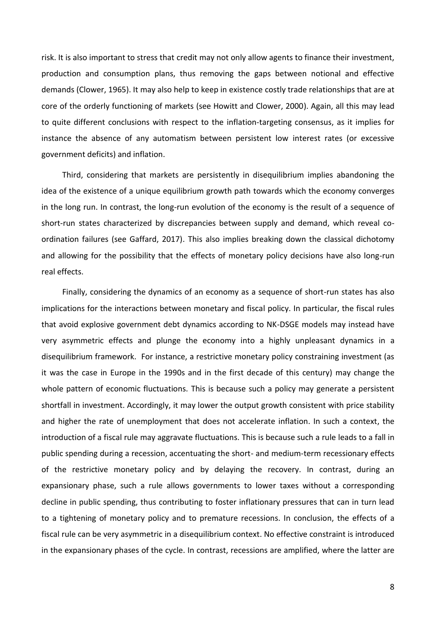risk. It is also important to stress that credit may not only allow agents to finance their investment, production and consumption plans, thus removing the gaps between notional and effective demands (Clower, 1965). It may also help to keep in existence costly trade relationships that are at core of the orderly functioning of markets (see Howitt and Clower, 2000). Again, all this may lead to quite different conclusions with respect to the inflation-targeting consensus, as it implies for instance the absence of any automatism between persistent low interest rates (or excessive government deficits) and inflation.

Third, considering that markets are persistently in disequilibrium implies abandoning the idea of the existence of a unique equilibrium growth path towards which the economy converges in the long run. In contrast, the long-run evolution of the economy is the result of a sequence of short-run states characterized by discrepancies between supply and demand, which reveal coordination failures (see Gaffard, 2017). This also implies breaking down the classical dichotomy and allowing for the possibility that the effects of monetary policy decisions have also long-run real effects.

Finally, considering the dynamics of an economy as a sequence of short-run states has also implications for the interactions between monetary and fiscal policy. In particular, the fiscal rules that avoid explosive government debt dynamics according to NK-DSGE models may instead have very asymmetric effects and plunge the economy into a highly unpleasant dynamics in a disequilibrium framework. For instance, a restrictive monetary policy constraining investment (as it was the case in Europe in the 1990s and in the first decade of this century) may change the whole pattern of economic fluctuations. This is because such a policy may generate a persistent shortfall in investment. Accordingly, it may lower the output growth consistent with price stability and higher the rate of unemployment that does not accelerate inflation. In such a context, the introduction of a fiscal rule may aggravate fluctuations. This is because such a rule leads to a fall in public spending during a recession, accentuating the short- and medium-term recessionary effects of the restrictive monetary policy and by delaying the recovery. In contrast, during an expansionary phase, such a rule allows governments to lower taxes without a corresponding decline in public spending, thus contributing to foster inflationary pressures that can in turn lead to a tightening of monetary policy and to premature recessions. In conclusion, the effects of a fiscal rule can be very asymmetric in a disequilibrium context. No effective constraint is introduced in the expansionary phases of the cycle. In contrast, recessions are amplified, where the latter are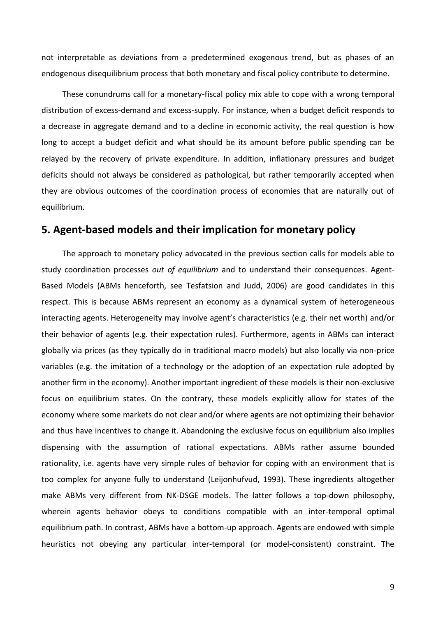not interpretable as deviations from a predetermined exogenous trend, but as phases of an endogenous disequilibrium process that both monetary and fiscal policy contribute to determine.

These conundrums call for a monetary-fiscal policy mix able to cope with a wrong temporal distribution of excess-demand and excess-supply. For instance, when a budget deficit responds to a decrease in aggregate demand and to a decline in economic activity, the real question is how long to accept a budget deficit and what should be its amount before public spending can be relayed by the recovery of private expenditure. In addition, inflationary pressures and budget deficits should not always be considered as pathological, but rather temporarily accepted when they are obvious outcomes of the coordination process of economies that are naturally out of equilibrium.

# **5. Agent-based models and their implication for monetary policy**

The approach to monetary policy advocated in the previous section calls for models able to study coordination processes *out of equilibrium* and to understand their consequences. Agent-Based Models (ABMs henceforth, see Tesfatsion and Judd, 2006) are good candidates in this respect. This is because ABMs represent an economy as a dynamical system of heterogeneous interacting agents. Heterogeneity may involve agent's characteristics (e.g. their net worth) and/or their behavior of agents (e.g. their expectation rules). Furthermore, agents in ABMs can interact globally via prices (as they typically do in traditional macro models) but also locally via non-price variables (e.g. the imitation of a technology or the adoption of an expectation rule adopted by another firm in the economy). Another important ingredient of these models is their non-exclusive focus on equilibrium states. On the contrary, these models explicitly allow for states of the economy where some markets do not clear and/or where agents are not optimizing their behavior and thus have incentives to change it. Abandoning the exclusive focus on equilibrium also implies dispensing with the assumption of rational expectations. ABMs rather assume bounded rationality, i.e. agents have very simple rules of behavior for coping with an environment that is too complex for anyone fully to understand (Leijonhufvud, 1993). These ingredients altogether make ABMs very different from NK-DSGE models. The latter follows a top-down philosophy, wherein agents behavior obeys to conditions compatible with an inter-temporal optimal equilibrium path. In contrast, ABMs have a bottom-up approach. Agents are endowed with simple heuristics not obeying any particular inter-temporal (or model-consistent) constraint. The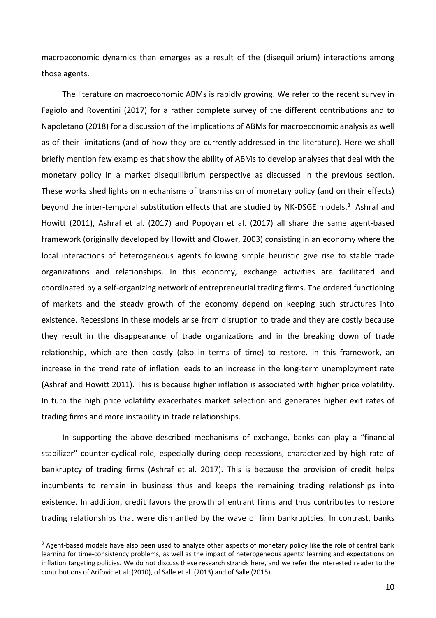macroeconomic dynamics then emerges as a result of the (disequilibrium) interactions among those agents.

The literature on macroeconomic ABMs is rapidly growing. We refer to the recent survey in Fagiolo and Roventini (2017) for a rather complete survey of the different contributions and to Napoletano (2018) for a discussion of the implications of ABMs for macroeconomic analysis as well as of their limitations (and of how they are currently addressed in the literature). Here we shall briefly mention few examples that show the ability of ABMs to develop analyses that deal with the monetary policy in a market disequilibrium perspective as discussed in the previous section. These works shed lights on mechanisms of transmission of monetary policy (and on their effects) beyond the inter-temporal substitution effects that are studied by NK-DSGE models.<sup>3</sup> Ashraf and Howitt (2011), Ashraf et al. (2017) and Popoyan et al. (2017) all share the same agent-based framework (originally developed by Howitt and Clower, 2003) consisting in an economy where the local interactions of heterogeneous agents following simple heuristic give rise to stable trade organizations and relationships. In this economy, exchange activities are facilitated and coordinated by a self-organizing network of entrepreneurial trading firms. The ordered functioning of markets and the steady growth of the economy depend on keeping such structures into existence. Recessions in these models arise from disruption to trade and they are costly because they result in the disappearance of trade organizations and in the breaking down of trade relationship, which are then costly (also in terms of time) to restore. In this framework, an increase in the trend rate of inflation leads to an increase in the long-term unemployment rate (Ashraf and Howitt 2011). This is because higher inflation is associated with higher price volatility. In turn the high price volatility exacerbates market selection and generates higher exit rates of trading firms and more instability in trade relationships.

In supporting the above-described mechanisms of exchange, banks can play a "financial stabilizer" counter-cyclical role, especially during deep recessions, characterized by high rate of bankruptcy of trading firms (Ashraf et al. 2017). This is because the provision of credit helps incumbents to remain in business thus and keeps the remaining trading relationships into existence. In addition, credit favors the growth of entrant firms and thus contributes to restore trading relationships that were dismantled by the wave of firm bankruptcies. In contrast, banks

 $\overline{a}$ 

<sup>&</sup>lt;sup>3</sup> Agent-based models have also been used to analyze other aspects of monetary policy like the role of central bank learning for time-consistency problems, as well as the impact of heterogeneous agents' learning and expectations on inflation targeting policies. We do not discuss these research strands here, and we refer the interested reader to the contributions of Arifovic et al. (2010), of Salle et al. (2013) and of Salle (2015).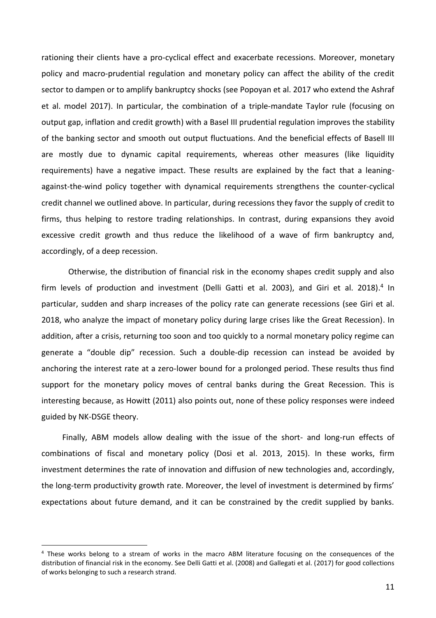rationing their clients have a pro-cyclical effect and exacerbate recessions. Moreover, monetary policy and macro-prudential regulation and monetary policy can affect the ability of the credit sector to dampen or to amplify bankruptcy shocks (see Popoyan et al. 2017 who extend the Ashraf et al. model 2017). In particular, the combination of a triple-mandate Taylor rule (focusing on output gap, inflation and credit growth) with a Basel III prudential regulation improves the stability of the banking sector and smooth out output fluctuations. And the beneficial effects of Basell III are mostly due to dynamic capital requirements, whereas other measures (like liquidity requirements) have a negative impact. These results are explained by the fact that a leaningagainst-the-wind policy together with dynamical requirements strengthens the counter-cyclical credit channel we outlined above. In particular, during recessions they favor the supply of credit to firms, thus helping to restore trading relationships. In contrast, during expansions they avoid excessive credit growth and thus reduce the likelihood of a wave of firm bankruptcy and, accordingly, of a deep recession.

 Otherwise, the distribution of financial risk in the economy shapes credit supply and also firm levels of production and investment (Delli Gatti et al. 2003), and Giri et al. 2018).<sup>4</sup> In particular, sudden and sharp increases of the policy rate can generate recessions (see Giri et al. 2018, who analyze the impact of monetary policy during large crises like the Great Recession). In addition, after a crisis, returning too soon and too quickly to a normal monetary policy regime can generate a "double dip" recession. Such a double-dip recession can instead be avoided by anchoring the interest rate at a zero-lower bound for a prolonged period. These results thus find support for the monetary policy moves of central banks during the Great Recession. This is interesting because, as Howitt (2011) also points out, none of these policy responses were indeed guided by NK-DSGE theory.

Finally, ABM models allow dealing with the issue of the short- and long-run effects of combinations of fiscal and monetary policy (Dosi et al. 2013, 2015). In these works, firm investment determines the rate of innovation and diffusion of new technologies and, accordingly, the long-term productivity growth rate. Moreover, the level of investment is determined by firms' expectations about future demand, and it can be constrained by the credit supplied by banks.

 $\overline{a}$ 

<sup>4</sup> These works belong to a stream of works in the macro ABM literature focusing on the consequences of the distribution of financial risk in the economy. See Delli Gatti et al. (2008) and Gallegati et al. (2017) for good collections of works belonging to such a research strand.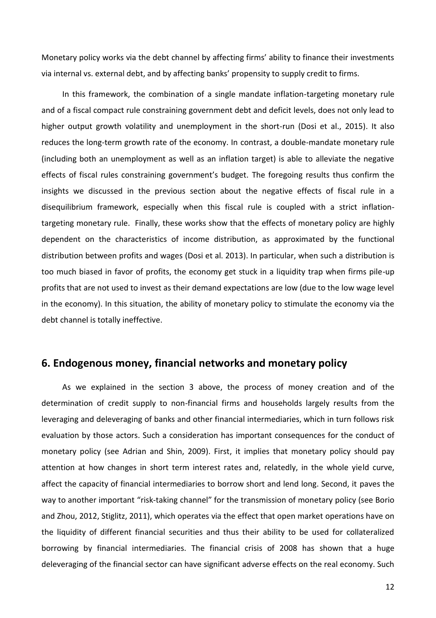Monetary policy works via the debt channel by affecting firms' ability to finance their investments via internal vs. external debt, and by affecting banks' propensity to supply credit to firms.

In this framework, the combination of a single mandate inflation-targeting monetary rule and of a fiscal compact rule constraining government debt and deficit levels, does not only lead to higher output growth volatility and unemployment in the short-run (Dosi et al., 2015). It also reduces the long-term growth rate of the economy. In contrast, a double-mandate monetary rule (including both an unemployment as well as an inflation target) is able to alleviate the negative effects of fiscal rules constraining government's budget. The foregoing results thus confirm the insights we discussed in the previous section about the negative effects of fiscal rule in a disequilibrium framework, especially when this fiscal rule is coupled with a strict inflationtargeting monetary rule. Finally, these works show that the effects of monetary policy are highly dependent on the characteristics of income distribution, as approximated by the functional distribution between profits and wages (Dosi et al. 2013). In particular, when such a distribution is too much biased in favor of profits, the economy get stuck in a liquidity trap when firms pile-up profits that are not used to invest as their demand expectations are low (due to the low wage level in the economy). In this situation, the ability of monetary policy to stimulate the economy via the debt channel is totally ineffective.

# **6. Endogenous money, financial networks and monetary policy**

As we explained in the section 3 above, the process of money creation and of the determination of credit supply to non-financial firms and households largely results from the leveraging and deleveraging of banks and other financial intermediaries, which in turn follows risk evaluation by those actors. Such a consideration has important consequences for the conduct of monetary policy (see Adrian and Shin, 2009). First, it implies that monetary policy should pay attention at how changes in short term interest rates and, relatedly, in the whole yield curve, affect the capacity of financial intermediaries to borrow short and lend long. Second, it paves the way to another important "risk-taking channel" for the transmission of monetary policy (see Borio and Zhou, 2012, Stiglitz, 2011), which operates via the effect that open market operations have on the liquidity of different financial securities and thus their ability to be used for collateralized borrowing by financial intermediaries. The financial crisis of 2008 has shown that a huge deleveraging of the financial sector can have significant adverse effects on the real economy. Such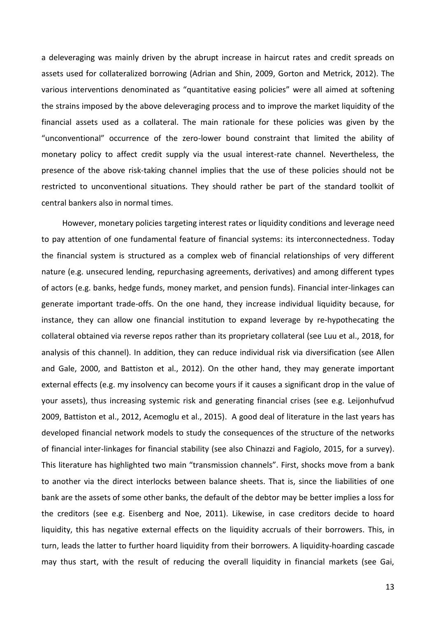a deleveraging was mainly driven by the abrupt increase in haircut rates and credit spreads on assets used for collateralized borrowing (Adrian and Shin, 2009, Gorton and Metrick, 2012). The various interventions denominated as "quantitative easing policies" were all aimed at softening the strains imposed by the above deleveraging process and to improve the market liquidity of the financial assets used as a collateral. The main rationale for these policies was given by the "unconventional" occurrence of the zero-lower bound constraint that limited the ability of monetary policy to affect credit supply via the usual interest-rate channel. Nevertheless, the presence of the above risk-taking channel implies that the use of these policies should not be restricted to unconventional situations. They should rather be part of the standard toolkit of central bankers also in normal times.

However, monetary policies targeting interest rates or liquidity conditions and leverage need to pay attention of one fundamental feature of financial systems: its interconnectedness. Today the financial system is structured as a complex web of financial relationships of very different nature (e.g. unsecured lending, repurchasing agreements, derivatives) and among different types of actors (e.g. banks, hedge funds, money market, and pension funds). Financial inter-linkages can generate important trade-offs. On the one hand, they increase individual liquidity because, for instance, they can allow one financial institution to expand leverage by re-hypothecating the collateral obtained via reverse repos rather than its proprietary collateral (see Luu et al., 2018, for analysis of this channel). In addition, they can reduce individual risk via diversification (see Allen and Gale, 2000, and Battiston et al., 2012). On the other hand, they may generate important external effects (e.g. my insolvency can become yours if it causes a significant drop in the value of your assets), thus increasing systemic risk and generating financial crises (see e.g. Leijonhufvud 2009, Battiston et al., 2012, Acemoglu et al., 2015). A good deal of literature in the last years has developed financial network models to study the consequences of the structure of the networks of financial inter-linkages for financial stability (see also Chinazzi and Fagiolo, 2015, for a survey). This literature has highlighted two main "transmission channels". First, shocks move from a bank to another via the direct interlocks between balance sheets. That is, since the liabilities of one bank are the assets of some other banks, the default of the debtor may be better implies a loss for the creditors (see e.g. Eisenberg and Noe, 2011). Likewise, in case creditors decide to hoard liquidity, this has negative external effects on the liquidity accruals of their borrowers. This, in turn, leads the latter to further hoard liquidity from their borrowers. A liquidity-hoarding cascade may thus start, with the result of reducing the overall liquidity in financial markets (see Gai,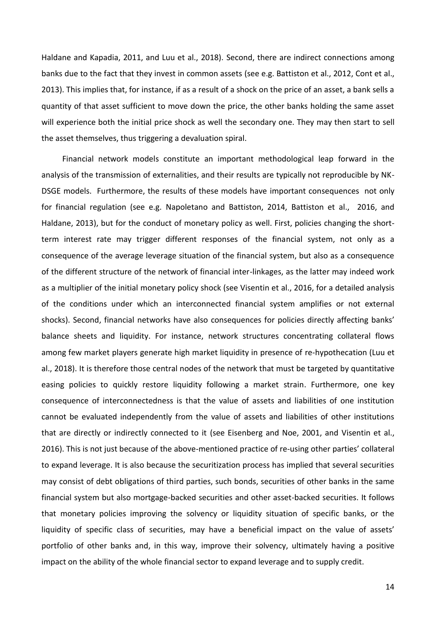Haldane and Kapadia, 2011, and Luu et al., 2018). Second, there are indirect connections among banks due to the fact that they invest in common assets (see e.g. Battiston et al., 2012, Cont et al., 2013). This implies that, for instance, if as a result of a shock on the price of an asset, a bank sells a quantity of that asset sufficient to move down the price, the other banks holding the same asset will experience both the initial price shock as well the secondary one. They may then start to sell the asset themselves, thus triggering a devaluation spiral.

Financial network models constitute an important methodological leap forward in the analysis of the transmission of externalities, and their results are typically not reproducible by NK-DSGE models. Furthermore, the results of these models have important consequences not only for financial regulation (see e.g. Napoletano and Battiston, 2014, Battiston et al., 2016, and Haldane, 2013), but for the conduct of monetary policy as well. First, policies changing the shortterm interest rate may trigger different responses of the financial system, not only as a consequence of the average leverage situation of the financial system, but also as a consequence of the different structure of the network of financial inter-linkages, as the latter may indeed work as a multiplier of the initial monetary policy shock (see Visentin et al., 2016, for a detailed analysis of the conditions under which an interconnected financial system amplifies or not external shocks). Second, financial networks have also consequences for policies directly affecting banks' balance sheets and liquidity. For instance, network structures concentrating collateral flows among few market players generate high market liquidity in presence of re-hypothecation (Luu et al., 2018). It is therefore those central nodes of the network that must be targeted by quantitative easing policies to quickly restore liquidity following a market strain. Furthermore, one key consequence of interconnectedness is that the value of assets and liabilities of one institution cannot be evaluated independently from the value of assets and liabilities of other institutions that are directly or indirectly connected to it (see Eisenberg and Noe, 2001, and Visentin et al., 2016). This is not just because of the above-mentioned practice of re-using other parties' collateral to expand leverage. It is also because the securitization process has implied that several securities may consist of debt obligations of third parties, such bonds, securities of other banks in the same financial system but also mortgage-backed securities and other asset-backed securities. It follows that monetary policies improving the solvency or liquidity situation of specific banks, or the liquidity of specific class of securities, may have a beneficial impact on the value of assets' portfolio of other banks and, in this way, improve their solvency, ultimately having a positive impact on the ability of the whole financial sector to expand leverage and to supply credit.

14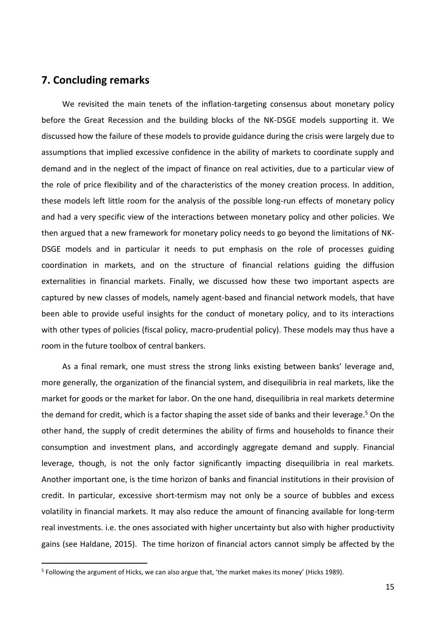# **7. Concluding remarks**

 $\overline{a}$ 

We revisited the main tenets of the inflation-targeting consensus about monetary policy before the Great Recession and the building blocks of the NK-DSGE models supporting it. We discussed how the failure of these models to provide guidance during the crisis were largely due to assumptions that implied excessive confidence in the ability of markets to coordinate supply and demand and in the neglect of the impact of finance on real activities, due to a particular view of the role of price flexibility and of the characteristics of the money creation process. In addition, these models left little room for the analysis of the possible long-run effects of monetary policy and had a very specific view of the interactions between monetary policy and other policies. We then argued that a new framework for monetary policy needs to go beyond the limitations of NK-DSGE models and in particular it needs to put emphasis on the role of processes guiding coordination in markets, and on the structure of financial relations guiding the diffusion externalities in financial markets. Finally, we discussed how these two important aspects are captured by new classes of models, namely agent-based and financial network models, that have been able to provide useful insights for the conduct of monetary policy, and to its interactions with other types of policies (fiscal policy, macro-prudential policy). These models may thus have a room in the future toolbox of central bankers.

As a final remark, one must stress the strong links existing between banks' leverage and, more generally, the organization of the financial system, and disequilibria in real markets, like the market for goods or the market for labor. On the one hand, disequilibria in real markets determine the demand for credit, which is a factor shaping the asset side of banks and their leverage.<sup>5</sup> On the other hand, the supply of credit determines the ability of firms and households to finance their consumption and investment plans, and accordingly aggregate demand and supply. Financial leverage, though, is not the only factor significantly impacting disequilibria in real markets. Another important one, is the time horizon of banks and financial institutions in their provision of credit. In particular, excessive short-termism may not only be a source of bubbles and excess volatility in financial markets. It may also reduce the amount of financing available for long-term real investments. i.e. the ones associated with higher uncertainty but also with higher productivity gains (see Haldane, 2015). The time horizon of financial actors cannot simply be affected by the

<sup>&</sup>lt;sup>5</sup> Following the argument of Hicks, we can also argue that, 'the market makes its money' (Hicks 1989).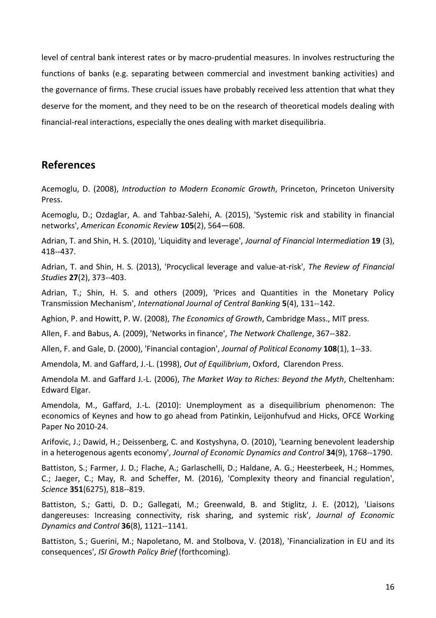level of central bank interest rates or by macro-prudential measures. In involves restructuring the functions of banks (e.g. separating between commercial and investment banking activities) and the governance of firms. These crucial issues have probably received less attention that what they deserve for the moment, and they need to be on the research of theoretical models dealing with financial-real interactions, especially the ones dealing with market disequilibria.

# **References**

Acemoglu, D. (2008), *Introduction to Modern Economic Growth*, Princeton, Princeton University Press.

Acemoglu, D.; Ozdaglar, A. and Tahbaz-Salehi, A. (2015), 'Systemic risk and stability in financial networks', *American Economic Review* **105**(2), 564—608.

Adrian, T. and Shin, H. S. (2010), 'Liquidity and leverage', *Journal of Financial Intermediation* **19** (3), 418--437.

Adrian, T. and Shin, H. S. (2013), 'Procyclical leverage and value-at-risk', *The Review of Financial Studies* **27**(2), 373--403.

Adrian, T.; Shin, H. S. and others (2009), 'Prices and Quantities in the Monetary Policy Transmission Mechanism', *International Journal of Central Banking* **5**(4), 131--142.

Aghion, P. and Howitt, P. W. (2008), *The Economics of Growth*, Cambridge Mass., MIT press.

Allen, F. and Babus, A. (2009), 'Networks in finance', *The Network Challenge*, 367--382.

Allen, F. and Gale, D. (2000), 'Financial contagion', *Journal of Political Economy* **108**(1), 1--33.

Amendola, M. and Gaffard, J.-L. (1998), *Out of Equilibrium*, Oxford, Clarendon Press.

Amendola M. and Gaffard J.-L. (2006), *The Market Way to Riches: Beyond the Myth*, Cheltenham: Edward Elgar.

Amendola, M., Gaffard, J.-L. (2010): Unemployment as a disequilibrium phenomenon: The economics of Keynes and how to go ahead from Patinkin, Leijonhufvud and Hicks, OFCE Working Paper No 2010-24.

Arifovic, J.; Dawid, H.; Deissenberg, C. and Kostyshyna, O. (2010), 'Learning benevolent leadership in a heterogenous agents economy', *Journal of Economic Dynamics and Control* **34**(9), 1768--1790.

Battiston, S.; Farmer, J. D.; Flache, A.; Garlaschelli, D.; Haldane, A. G.; Heesterbeek, H.; Hommes, C.; Jaeger, C.; May, R. and Scheffer, M. (2016), 'Complexity theory and financial regulation', *Science* **351**(6275), 818--819.

Battiston, S.; Gatti, D. D.; Gallegati, M.; Greenwald, B. and Stiglitz, J. E. (2012), 'Liaisons dangereuses: Increasing connectivity, risk sharing, and systemic risk', *Journal of Economic Dynamics and Control* **36**(8), 1121--1141.

Battiston, S.; Guerini, M.; Napoletano, M. and Stolbova, V. (2018), 'Financialization in EU and its consequences', *ISI Growth Policy Brief* (forthcoming).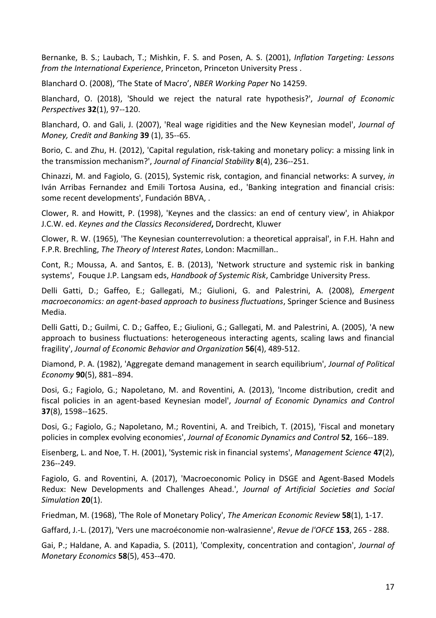Bernanke, B. S.; Laubach, T.; Mishkin, F. S. and Posen, A. S. (2001), *Inflation Targeting: Lessons from the International Experience*, Princeton, Princeton University Press .

Blanchard O. (2008), 'The State of Macro', *NBER Working Paper* No 14259.

Blanchard, O. (2018), 'Should we reject the natural rate hypothesis?', *Journal of Economic Perspectives* **32**(1), 97--120.

Blanchard, O. and Gali, J. (2007), 'Real wage rigidities and the New Keynesian model', *Journal of Money, Credit and Banking* **39** (1), 35--65.

Borio, C. and Zhu, H. (2012), 'Capital regulation, risk-taking and monetary policy: a missing link in the transmission mechanism?', *Journal of Financial Stability* **8**(4), 236--251.

Chinazzi, M. and Fagiolo, G. (2015), Systemic risk, contagion, and financial networks: A survey, *in*  Iván Arribas Fernandez and Emili Tortosa Ausina, ed., 'Banking integration and financial crisis: some recent developments', Fundación BBVA, .

Clower, R. and Howitt, P. (1998), 'Keynes and the classics: an end of century view', in Ahiakpor J.C.W. ed. *Keynes and the Classics Reconsidered***,** Dordrecht, Kluwer

Clower, R. W. (1965), 'The Keynesian counterrevolution: a theoretical appraisal', in F.H. Hahn and F.P.R. Brechling, *The Theory of Interest Rates*, London: Macmillan..

Cont, R.; Moussa, A. and Santos, E. B. (2013), 'Network structure and systemic risk in banking systems', Fouque J.P. Langsam eds, *Handbook of Systemic Risk*, Cambridge University Press.

Delli Gatti, D.; Gaffeo, E.; Gallegati, M.; Giulioni, G. and Palestrini, A. (2008), *Emergent macroeconomics: an agent-based approach to business fluctuations*, Springer Science and Business Media.

Delli Gatti, D.; Guilmi, C. D.; Gaffeo, E.; Giulioni, G.; Gallegati, M. and Palestrini, A. (2005), 'A new approach to business fluctuations: heterogeneous interacting agents, scaling laws and financial fragility', *Journal of Economic Behavior and Organization* **56**(4), 489-512.

Diamond, P. A. (1982), 'Aggregate demand management in search equilibrium', *Journal of Political Economy* **90**(5), 881--894.

Dosi, G.; Fagiolo, G.; Napoletano, M. and Roventini, A. (2013), 'Income distribution, credit and fiscal policies in an agent-based Keynesian model', *Journal of Economic Dynamics and Control* **37**(8), 1598--1625.

Dosi, G.; Fagiolo, G.; Napoletano, M.; Roventini, A. and Treibich, T. (2015), 'Fiscal and monetary policies in complex evolving economies', *Journal of Economic Dynamics and Control* **52**, 166--189.

Eisenberg, L. and Noe, T. H. (2001), 'Systemic risk in financial systems', *Management Science* **47**(2), 236--249.

Fagiolo, G. and Roventini, A. (2017), 'Macroeconomic Policy in DSGE and Agent-Based Models Redux: New Developments and Challenges Ahead.', *Journal of Artificial Societies and Social Simulation* **20**(1).

Friedman, M. (1968), 'The Role of Monetary Policy', *The American Economic Review* **58**(1), 1-17.

Gaffard, J.-L. (2017), 'Vers une macroéconomie non-walrasienne', *Revue de l'OFCE* **153**, 265 - 288.

Gai, P.; Haldane, A. and Kapadia, S. (2011), 'Complexity, concentration and contagion', *Journal of Monetary Economics* **58**(5), 453--470.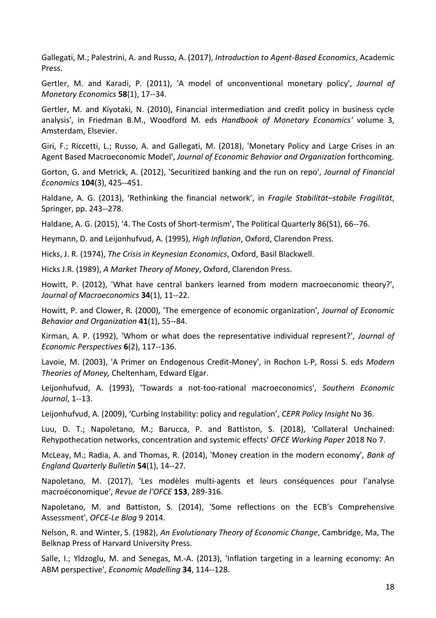Gallegati, M.; Palestrini, A. and Russo, A. (2017), *Introduction to Agent-Based Economics*, Academic Press.

Gertler, M. and Karadi, P. (2011), 'A model of unconventional monetary policy', *Journal of Monetary Economics* **58**(1), 17--34.

Gertler, M. and Kiyotaki, N. (2010), Financial intermediation and credit policy in business cycle analysis', in Friedman B.M., Woodford M. eds *Handbook of Monetary Economics'* volume 3, Amsterdam, Elsevier.

Giri, F.; Riccetti, L.; Russo, A. and Gallegati, M. (2018), 'Monetary Policy and Large Crises in an Agent Based Macroeconomic Model', *Journal of Economic Behavior and Organization* forthcoming.

Gorton, G. and Metrick, A. (2012), 'Securitized banking and the run on repo', *Journal of Financial Economics* **104**(3), 425--451.

Haldane, A. G. (2013), 'Rethinking the financial network', in *Fragile Stabilität–stabile Fragilität*, Springer, pp. 243--278.

Haldane, A. G. (2015), '4. The Costs of Short-termism', The Political Quarterly 86(S1), 66--76.

Heymann, D. and Leijonhufvud, A. (1995), *High Inflation*, Oxford, Clarendon Press.

Hicks, J. R. (1974), *The Crisis in Keynesian Economics*, Oxford, Basil Blackwell.

Hicks J.R. (1989), *A Market Theory of Money*, Oxford, Clarendon Press.

Howitt, P. (2012), 'What have central bankers learned from modern macroeconomic theory?', *Journal of Macroeconomics* **34**(1), 11--22.

Howitt, P. and Clower, R. (2000), 'The emergence of economic organization', *Journal of Economic Behavior and Organization* **41**(1), 55--84.

Kirman, A. P. (1992), 'Whom or what does the representative individual represent?', *Journal of Economic Perspectives* **6**(2), 117--136.

Lavoie, M. (2003), 'A Primer on Endogenous Credit-Money', in Rochon L-P, Rossi S. eds *Modern Theories of Money,* Cheltenham, Edward Elgar.

Leijonhufvud, A. (1993), 'Towards a not-too-rational macroeconomics', *Southern Economic Journal*, 1--13.

Leijonhufvud, A. (2009), 'Curbing Instability: policy and regulation', *CEPR Policy Insight* No 36.

Luu, D. T.; Napoletano, M.; Barucca, P. and Battiston, S. (2018), 'Collateral Unchained: Rehypothecation networks, concentration and systemic effects' *OFCE Working Paper* 2018 No 7.

McLeay, M.; Radia, A. and Thomas, R. (2014), 'Money creation in the modern economy', *Bank of England Quarterly Bulletin* **54**(1), 14--27.

Napoletano, M. (2017), 'Les modèles multi-agents et leurs conséquences pour l'analyse macroéconomique', *Revue de l'OFCE* **153**, 289-316.

Napoletano, M. and Battiston, S. (2014), 'Some reflections on the ECB's Comprehensive Assessment', *OFCE-Le Blog* 9 2014.

Nelson, R. and Winter, S. (1982), *An Evolutionary Theory of Economic Change*, Cambridge, Ma, The Belknap Press of Harvard University Press.

Salle, I.; Yldzoglu, M. and Senegas, M.-A. (2013), 'Inflation targeting in a learning economy: An ABM perspective', *Economic Modelling* **34**, 114--128.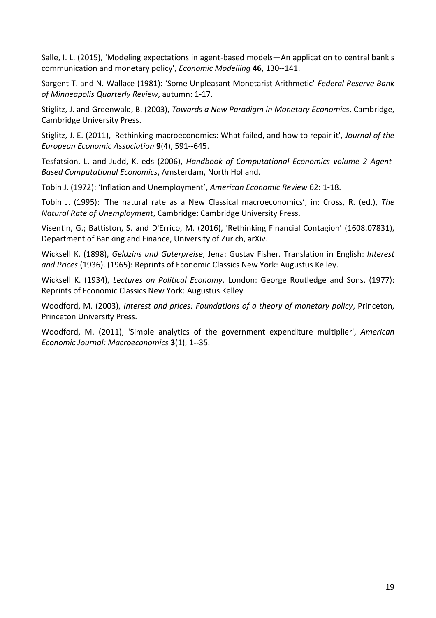Salle, I. L. (2015), 'Modeling expectations in agent-based models—An application to central bank's communication and monetary policy', *Economic Modelling* **46**, 130--141.

Sargent T. and N. Wallace (1981): 'Some Unpleasant Monetarist Arithmetic' *Federal Reserve Bank of Minneapolis Quarterly Review*, autumn: 1-17.

Stiglitz, J. and Greenwald, B. (2003), *Towards a New Paradigm in Monetary Economics*, Cambridge, Cambridge University Press.

Stiglitz, J. E. (2011), 'Rethinking macroeconomics: What failed, and how to repair it', *Journal of the European Economic Association* **9**(4), 591--645.

Tesfatsion, L. and Judd, K. eds (2006), *Handbook of Computational Economics volume 2 Agent-Based Computational Economics*, Amsterdam, North Holland.

Tobin J. (1972): 'Inflation and Unemployment', *American Economic Review* 62: 1-18.

Tobin J. (1995): 'The natural rate as a New Classical macroeconomics', in: Cross, R. (ed.), *The Natural Rate of Unemployment*, Cambridge: Cambridge University Press.

Visentin, G.; Battiston, S. and D'Errico, M. (2016), 'Rethinking Financial Contagion' (1608.07831), Department of Banking and Finance, University of Zurich, arXiv.

Wicksell K. (1898), *Geldzins und Guterpreise*, Jena: Gustav Fisher. Translation in English: *Interest and Prices* (1936). (1965): Reprints of Economic Classics New York: Augustus Kelley.

Wicksell K. (1934), *Lectures on Political Economy*, London: George Routledge and Sons. (1977): Reprints of Economic Classics New York: Augustus Kelley

Woodford, M. (2003), *Interest and prices: Foundations of a theory of monetary policy*, Princeton, Princeton University Press.

Woodford, M. (2011), 'Simple analytics of the government expenditure multiplier', *American Economic Journal: Macroeconomics* **3**(1), 1--35.